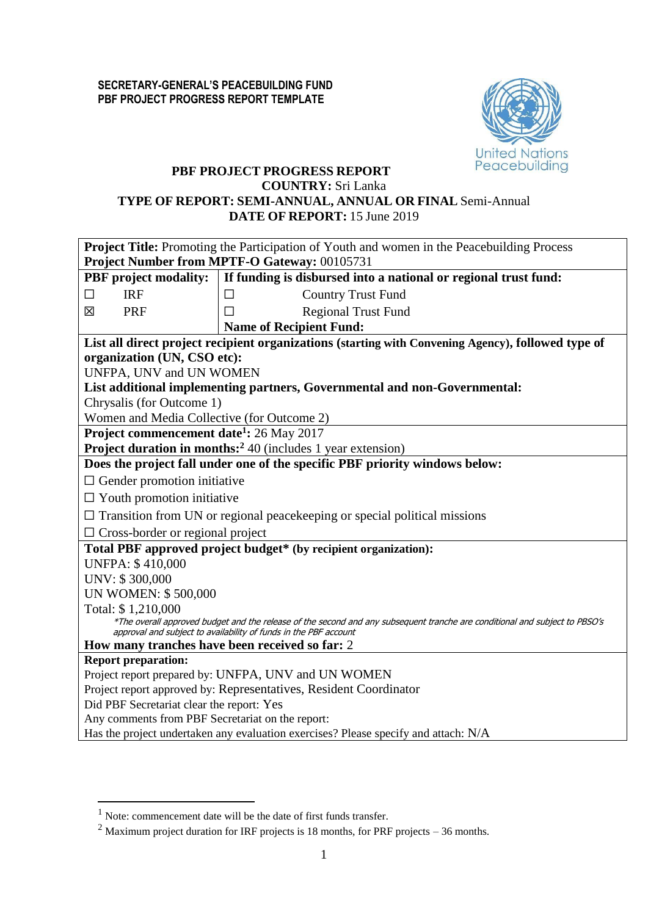

## **PBF PROJECT PROGRESS REPORT COUNTRY:** Sri Lanka **TYPE OF REPORT: SEMI-ANNUAL, ANNUAL OR FINAL** Semi-Annual **DATE OF REPORT:** 15 June 2019

| Project Title: Promoting the Participation of Youth and women in the Peacebuilding Process<br>Project Number from MPTF-O Gateway: 00105731 |                                                                                                                                                                                                 |  |  |  |  |  |  |
|--------------------------------------------------------------------------------------------------------------------------------------------|-------------------------------------------------------------------------------------------------------------------------------------------------------------------------------------------------|--|--|--|--|--|--|
| <b>PBF</b> project modality:                                                                                                               | If funding is disbursed into a national or regional trust fund:                                                                                                                                 |  |  |  |  |  |  |
| <b>IRF</b><br>$\Box$                                                                                                                       | <b>Country Trust Fund</b><br>$\Box$                                                                                                                                                             |  |  |  |  |  |  |
| 区<br>PRF                                                                                                                                   | <b>Regional Trust Fund</b><br>П                                                                                                                                                                 |  |  |  |  |  |  |
|                                                                                                                                            | <b>Name of Recipient Fund:</b>                                                                                                                                                                  |  |  |  |  |  |  |
|                                                                                                                                            | List all direct project recipient organizations (starting with Convening Agency), followed type of                                                                                              |  |  |  |  |  |  |
| organization (UN, CSO etc):                                                                                                                |                                                                                                                                                                                                 |  |  |  |  |  |  |
| UNFPA, UNV and UN WOMEN                                                                                                                    |                                                                                                                                                                                                 |  |  |  |  |  |  |
|                                                                                                                                            | List additional implementing partners, Governmental and non-Governmental:                                                                                                                       |  |  |  |  |  |  |
| Chrysalis (for Outcome 1)                                                                                                                  |                                                                                                                                                                                                 |  |  |  |  |  |  |
| Women and Media Collective (for Outcome 2)                                                                                                 |                                                                                                                                                                                                 |  |  |  |  |  |  |
| <b>Project commencement date<sup>1</sup>:</b> 26 May 2017                                                                                  |                                                                                                                                                                                                 |  |  |  |  |  |  |
|                                                                                                                                            | <b>Project duration in months:</b> <sup>2</sup> 40 (includes 1 year extension)                                                                                                                  |  |  |  |  |  |  |
|                                                                                                                                            | Does the project fall under one of the specific PBF priority windows below:                                                                                                                     |  |  |  |  |  |  |
| $\Box$ Gender promotion initiative                                                                                                         |                                                                                                                                                                                                 |  |  |  |  |  |  |
| $\Box$ Youth promotion initiative                                                                                                          |                                                                                                                                                                                                 |  |  |  |  |  |  |
|                                                                                                                                            | $\Box$ Transition from UN or regional peace keeping or special political missions                                                                                                               |  |  |  |  |  |  |
| $\Box$ Cross-border or regional project                                                                                                    |                                                                                                                                                                                                 |  |  |  |  |  |  |
| <b>UNFPA: \$410,000</b>                                                                                                                    | Total PBF approved project budget* (by recipient organization):                                                                                                                                 |  |  |  |  |  |  |
| UNV: \$300,000                                                                                                                             |                                                                                                                                                                                                 |  |  |  |  |  |  |
| <b>UN WOMEN: \$500,000</b>                                                                                                                 |                                                                                                                                                                                                 |  |  |  |  |  |  |
| Total: \$1,210,000                                                                                                                         | *The overall approved budget and the release of the second and any subsequent tranche are conditional and subject to PBSO's<br>approval and subject to availability of funds in the PBF account |  |  |  |  |  |  |
| How many tranches have been received so far: 2                                                                                             |                                                                                                                                                                                                 |  |  |  |  |  |  |
| <b>Report preparation:</b>                                                                                                                 |                                                                                                                                                                                                 |  |  |  |  |  |  |
|                                                                                                                                            | Project report prepared by: UNFPA, UNV and UN WOMEN                                                                                                                                             |  |  |  |  |  |  |
|                                                                                                                                            | Project report approved by: Representatives, Resident Coordinator                                                                                                                               |  |  |  |  |  |  |
| Did PBF Secretariat clear the report: Yes                                                                                                  |                                                                                                                                                                                                 |  |  |  |  |  |  |
| Any comments from PBF Secretariat on the report:                                                                                           |                                                                                                                                                                                                 |  |  |  |  |  |  |
|                                                                                                                                            | Has the project undertaken any evaluation exercises? Please specify and attach: N/A                                                                                                             |  |  |  |  |  |  |

1

<sup>&</sup>lt;sup>1</sup> Note: commencement date will be the date of first funds transfer.

<sup>&</sup>lt;sup>2</sup> Maximum project duration for IRF projects is 18 months, for PRF projects – 36 months.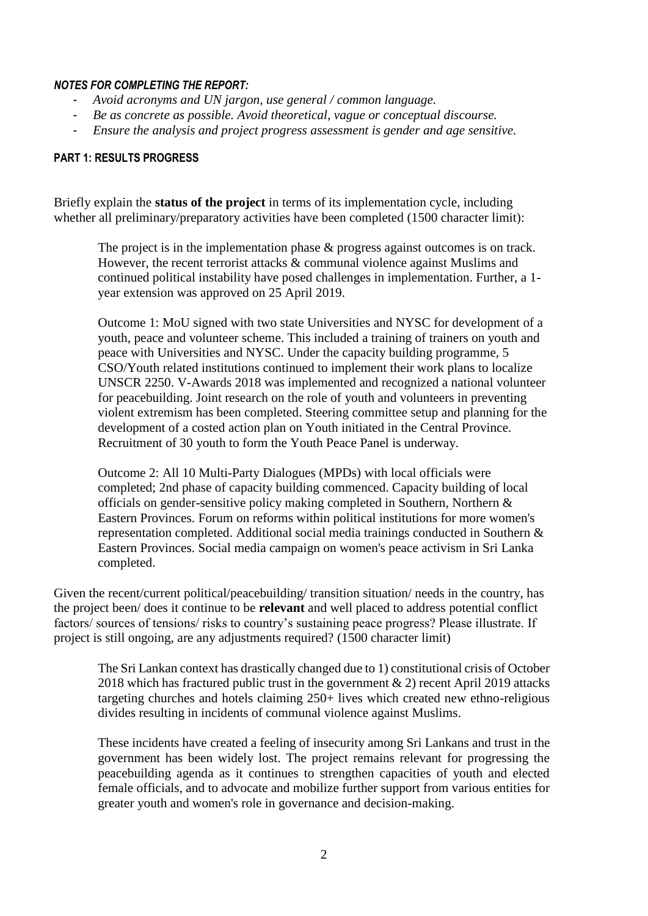#### *NOTES FOR COMPLETING THE REPORT:*

- *Avoid acronyms and UN jargon, use general / common language.*
- *Be as concrete as possible. Avoid theoretical, vague or conceptual discourse.*
- *Ensure the analysis and project progress assessment is gender and age sensitive.*

### **PART 1: RESULTS PROGRESS**

Briefly explain the **status of the project** in terms of its implementation cycle, including whether all preliminary/preparatory activities have been completed (1500 character limit):

The project is in the implementation phase & progress against outcomes is on track. However, the recent terrorist attacks & communal violence against Muslims and continued political instability have posed challenges in implementation. Further, a 1 year extension was approved on 25 April 2019.

Outcome 1: MoU signed with two state Universities and NYSC for development of a youth, peace and volunteer scheme. This included a training of trainers on youth and peace with Universities and NYSC. Under the capacity building programme, 5 CSO/Youth related institutions continued to implement their work plans to localize UNSCR 2250. V-Awards 2018 was implemented and recognized a national volunteer for peacebuilding. Joint research on the role of youth and volunteers in preventing violent extremism has been completed. Steering committee setup and planning for the development of a costed action plan on Youth initiated in the Central Province. Recruitment of 30 youth to form the Youth Peace Panel is underway.

Outcome 2: All 10 Multi-Party Dialogues (MPDs) with local officials were completed; 2nd phase of capacity building commenced. Capacity building of local officials on gender-sensitive policy making completed in Southern, Northern & Eastern Provinces. Forum on reforms within political institutions for more women's representation completed. Additional social media trainings conducted in Southern & Eastern Provinces. Social media campaign on women's peace activism in Sri Lanka completed.

Given the recent/current political/peacebuilding/ transition situation/ needs in the country, has the project been/ does it continue to be **relevant** and well placed to address potential conflict factors/ sources of tensions/ risks to country's sustaining peace progress? Please illustrate. If project is still ongoing, are any adjustments required? (1500 character limit)

The Sri Lankan context has drastically changed due to 1) constitutional crisis of October 2018 which has fractured public trust in the government & 2) recent April 2019 attacks targeting churches and hotels claiming 250+ lives which created new ethno-religious divides resulting in incidents of communal violence against Muslims.

These incidents have created a feeling of insecurity among Sri Lankans and trust in the government has been widely lost. The project remains relevant for progressing the peacebuilding agenda as it continues to strengthen capacities of youth and elected female officials, and to advocate and mobilize further support from various entities for greater youth and women's role in governance and decision-making.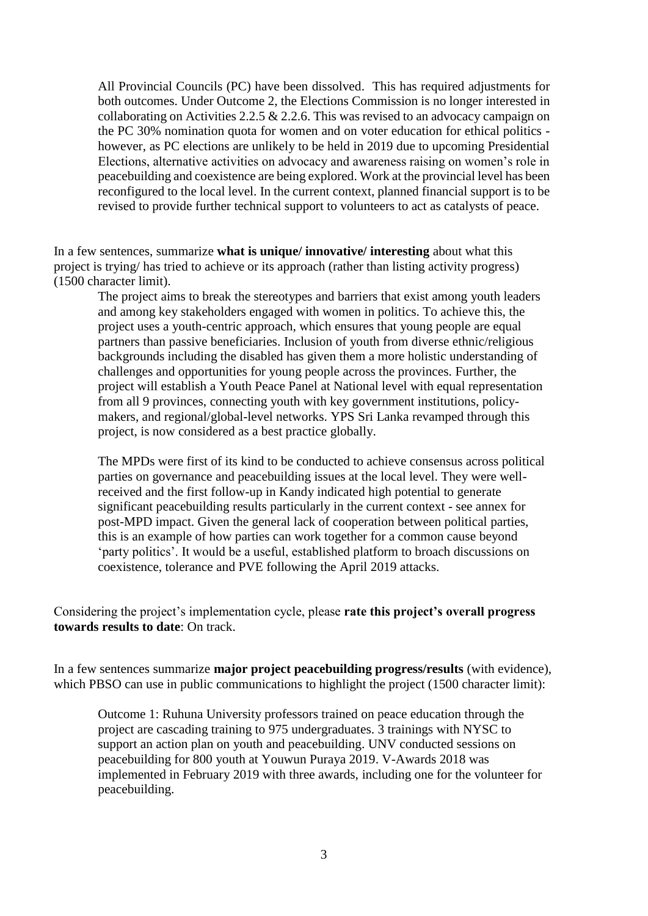All Provincial Councils (PC) have been dissolved. This has required adjustments for both outcomes. Under Outcome 2, the Elections Commission is no longer interested in collaborating on Activities 2.2.5  $& 2.2.6$ . This was revised to an advocacy campaign on the PC 30% nomination quota for women and on voter education for ethical politics however, as PC elections are unlikely to be held in 2019 due to upcoming Presidential Elections, alternative activities on advocacy and awareness raising on women's role in peacebuilding and coexistence are being explored. Work at the provincial level has been reconfigured to the local level. In the current context, planned financial support is to be revised to provide further technical support to volunteers to act as catalysts of peace.

In a few sentences, summarize **what is unique/ innovative/ interesting** about what this project is trying/ has tried to achieve or its approach (rather than listing activity progress) (1500 character limit).

The project aims to break the stereotypes and barriers that exist among youth leaders and among key stakeholders engaged with women in politics. To achieve this, the project uses a youth-centric approach, which ensures that young people are equal partners than passive beneficiaries. Inclusion of youth from diverse ethnic/religious backgrounds including the disabled has given them a more holistic understanding of challenges and opportunities for young people across the provinces. Further, the project will establish a Youth Peace Panel at National level with equal representation from all 9 provinces, connecting youth with key government institutions, policymakers, and regional/global-level networks. YPS Sri Lanka revamped through this project, is now considered as a best practice globally.

The MPDs were first of its kind to be conducted to achieve consensus across political parties on governance and peacebuilding issues at the local level. They were wellreceived and the first follow-up in Kandy indicated high potential to generate significant peacebuilding results particularly in the current context - see annex for post-MPD impact. Given the general lack of cooperation between political parties, this is an example of how parties can work together for a common cause beyond 'party politics'. It would be a useful, established platform to broach discussions on coexistence, tolerance and PVE following the April 2019 attacks.

Considering the project's implementation cycle, please **rate this project's overall progress towards results to date**: On track.

In a few sentences summarize **major project peacebuilding progress/results** (with evidence), which PBSO can use in public communications to highlight the project (1500 character limit):

Outcome 1: Ruhuna University professors trained on peace education through the project are cascading training to 975 undergraduates. 3 trainings with NYSC to support an action plan on youth and peacebuilding. UNV conducted sessions on peacebuilding for 800 youth at Youwun Puraya 2019. V-Awards 2018 was implemented in February 2019 with three awards, including one for the volunteer for peacebuilding.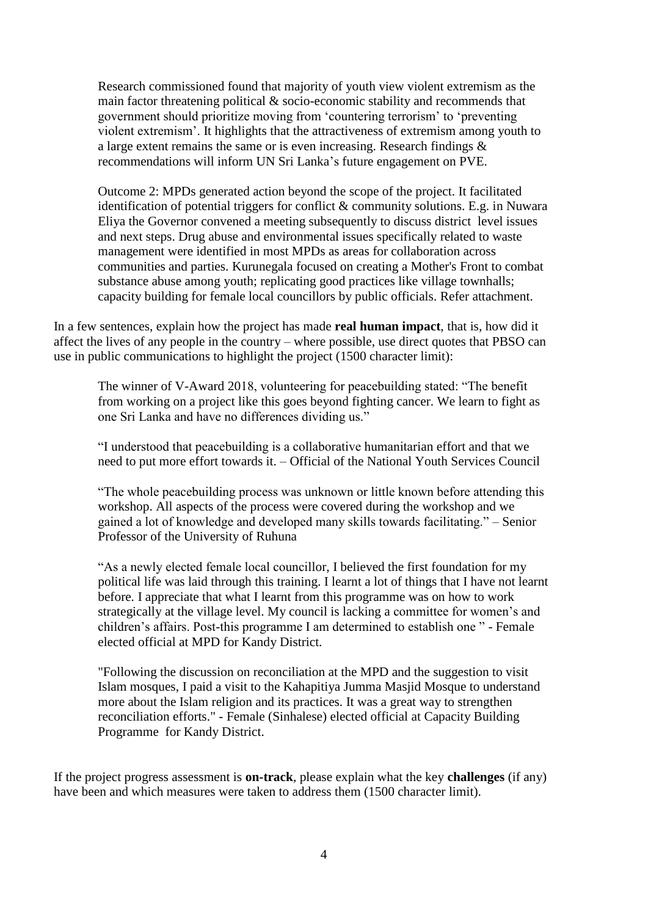Research commissioned found that majority of youth view violent extremism as the main factor threatening political & socio-economic stability and recommends that government should prioritize moving from 'countering terrorism' to 'preventing violent extremism'. It highlights that the attractiveness of extremism among youth to a large extent remains the same or is even increasing. Research findings & recommendations will inform UN Sri Lanka's future engagement on PVE.

Outcome 2: MPDs generated action beyond the scope of the project. It facilitated identification of potential triggers for conflict & community solutions. E.g. in Nuwara Eliya the Governor convened a meeting subsequently to discuss district level issues and next steps. Drug abuse and environmental issues specifically related to waste management were identified in most MPDs as areas for collaboration across communities and parties. Kurunegala focused on creating a Mother's Front to combat substance abuse among youth; replicating good practices like village townhalls; capacity building for female local councillors by public officials. Refer attachment.

In a few sentences, explain how the project has made **real human impact**, that is, how did it affect the lives of any people in the country – where possible, use direct quotes that PBSO can use in public communications to highlight the project (1500 character limit):

The winner of V-Award 2018, volunteering for peacebuilding stated: "The benefit from working on a project like this goes beyond fighting cancer. We learn to fight as one Sri Lanka and have no differences dividing us."

"I understood that peacebuilding is a collaborative humanitarian effort and that we need to put more effort towards it. – Official of the National Youth Services Council

"The whole peacebuilding process was unknown or little known before attending this workshop. All aspects of the process were covered during the workshop and we gained a lot of knowledge and developed many skills towards facilitating." – Senior Professor of the University of Ruhuna

"As a newly elected female local councillor, I believed the first foundation for my political life was laid through this training. I learnt a lot of things that I have not learnt before. I appreciate that what I learnt from this programme was on how to work strategically at the village level. My council is lacking a committee for women's and children's affairs. Post-this programme I am determined to establish one " - Female elected official at MPD for Kandy District.

"Following the discussion on reconciliation at the MPD and the suggestion to visit Islam mosques, I paid a visit to the Kahapitiya Jumma Masjid Mosque to understand more about the Islam religion and its practices. It was a great way to strengthen reconciliation efforts." - Female (Sinhalese) elected official at Capacity Building Programme for Kandy District.

If the project progress assessment is **on-track**, please explain what the key **challenges** (if any) have been and which measures were taken to address them (1500 character limit).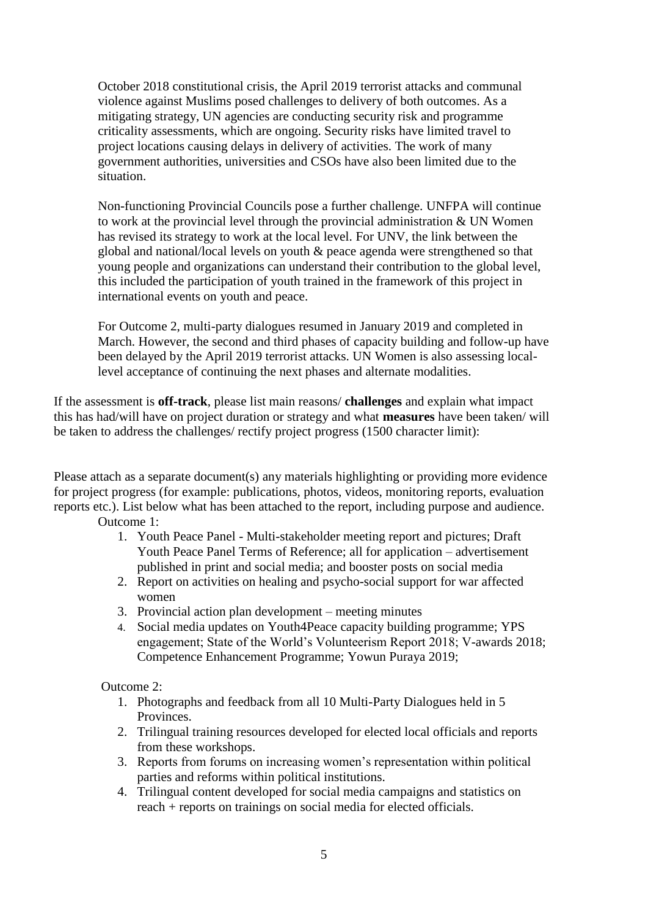October 2018 constitutional crisis, the April 2019 terrorist attacks and communal violence against Muslims posed challenges to delivery of both outcomes. As a mitigating strategy, UN agencies are conducting security risk and programme criticality assessments, which are ongoing. Security risks have limited travel to project locations causing delays in delivery of activities. The work of many government authorities, universities and CSOs have also been limited due to the situation.

Non-functioning Provincial Councils pose a further challenge. UNFPA will continue to work at the provincial level through the provincial administration & UN Women has revised its strategy to work at the local level. For UNV, the link between the global and national/local levels on youth & peace agenda were strengthened so that young people and organizations can understand their contribution to the global level, this included the participation of youth trained in the framework of this project in international events on youth and peace.

For Outcome 2, multi-party dialogues resumed in January 2019 and completed in March. However, the second and third phases of capacity building and follow-up have been delayed by the April 2019 terrorist attacks. UN Women is also assessing locallevel acceptance of continuing the next phases and alternate modalities.

If the assessment is **off-track**, please list main reasons/ **challenges** and explain what impact this has had/will have on project duration or strategy and what **measures** have been taken/ will be taken to address the challenges/ rectify project progress (1500 character limit):

Please attach as a separate document(s) any materials highlighting or providing more evidence for project progress (for example: publications, photos, videos, monitoring reports, evaluation reports etc.). List below what has been attached to the report, including purpose and audience.

Outcome 1:

- 1. Youth Peace Panel Multi-stakeholder meeting report and pictures; Draft Youth Peace Panel Terms of Reference; all for application – advertisement published in print and social media; and booster posts on social media
- 2. Report on activities on healing and psycho-social support for war affected women
- 3. Provincial action plan development meeting minutes
- 4. Social media updates on Youth4Peace capacity building programme; YPS engagement; State of the World's Volunteerism Report 2018; V-awards 2018; Competence Enhancement Programme; Yowun Puraya 2019;

Outcome 2:

- 1. Photographs and feedback from all 10 Multi-Party Dialogues held in 5 Provinces.
- 2. Trilingual training resources developed for elected local officials and reports from these workshops.
- 3. Reports from forums on increasing women's representation within political parties and reforms within political institutions.
- 4. Trilingual content developed for social media campaigns and statistics on reach + reports on trainings on social media for elected officials.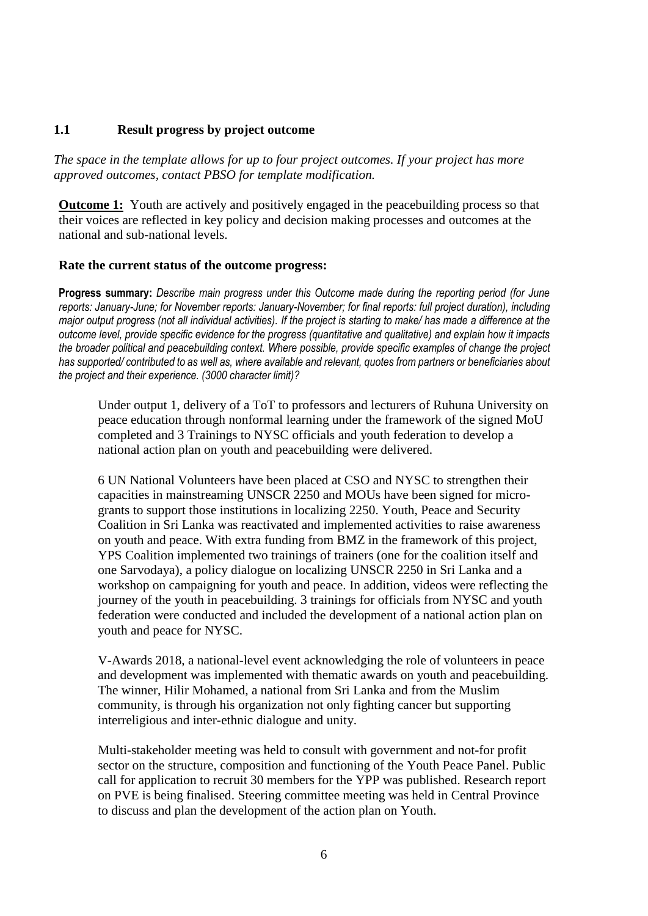## **1.1 Result progress by project outcome**

*The space in the template allows for up to four project outcomes. If your project has more approved outcomes, contact PBSO for template modification.*

**Outcome 1:** Youth are actively and positively engaged in the peacebuilding process so that their voices are reflected in key policy and decision making processes and outcomes at the national and sub-national levels.

## **Rate the current status of the outcome progress:**

**Progress summary:** *Describe main progress under this Outcome made during the reporting period (for June reports: January-June; for November reports: January-November; for final reports: full project duration), including major output progress (not all individual activities). If the project is starting to make/ has made a difference at the outcome level, provide specific evidence for the progress (quantitative and qualitative) and explain how it impacts the broader political and peacebuilding context. Where possible, provide specific examples of change the project has supported/ contributed to as well as, where available and relevant, quotes from partners or beneficiaries about the project and their experience. (3000 character limit)?* 

Under output 1, delivery of a ToT to professors and lecturers of Ruhuna University on peace education through nonformal learning under the framework of the signed MoU completed and 3 Trainings to NYSC officials and youth federation to develop a national action plan on youth and peacebuilding were delivered.

6 UN National Volunteers have been placed at CSO and NYSC to strengthen their capacities in mainstreaming UNSCR 2250 and MOUs have been signed for microgrants to support those institutions in localizing 2250. Youth, Peace and Security Coalition in Sri Lanka was reactivated and implemented activities to raise awareness on youth and peace. With extra funding from BMZ in the framework of this project, YPS Coalition implemented two trainings of trainers (one for the coalition itself and one Sarvodaya), a policy dialogue on localizing UNSCR 2250 in Sri Lanka and a workshop on campaigning for youth and peace. In addition, videos were reflecting the journey of the youth in peacebuilding. 3 trainings for officials from NYSC and youth federation were conducted and included the development of a national action plan on youth and peace for NYSC.

V-Awards 2018, a national-level event acknowledging the role of volunteers in peace and development was implemented with thematic awards on youth and peacebuilding. The winner, Hilir Mohamed, a national from Sri Lanka and from the Muslim community, is through his organization not only fighting cancer but supporting interreligious and inter-ethnic dialogue and unity.

Multi-stakeholder meeting was held to consult with government and not-for profit sector on the structure, composition and functioning of the Youth Peace Panel. Public call for application to recruit 30 members for the YPP was published. Research report on PVE is being finalised. Steering committee meeting was held in Central Province to discuss and plan the development of the action plan on Youth.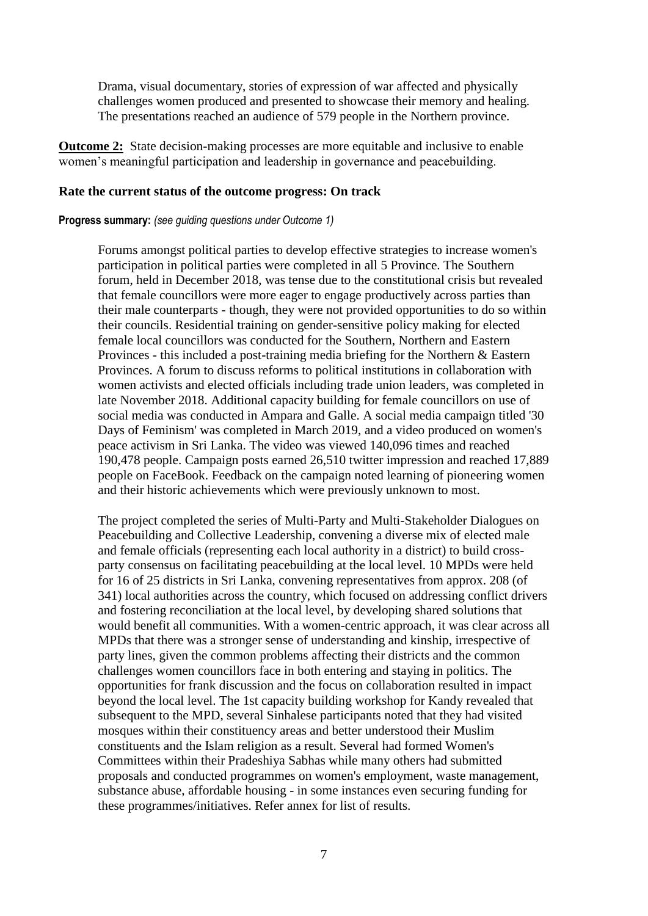Drama, visual documentary, stories of expression of war affected and physically challenges women produced and presented to showcase their memory and healing. The presentations reached an audience of 579 people in the Northern province.

**Outcome 2:** State decision-making processes are more equitable and inclusive to enable women's meaningful participation and leadership in governance and peacebuilding.

#### **Rate the current status of the outcome progress: On track**

#### **Progress summary:** *(see guiding questions under Outcome 1)*

Forums amongst political parties to develop effective strategies to increase women's participation in political parties were completed in all 5 Province. The Southern forum, held in December 2018, was tense due to the constitutional crisis but revealed that female councillors were more eager to engage productively across parties than their male counterparts - though, they were not provided opportunities to do so within their councils. Residential training on gender-sensitive policy making for elected female local councillors was conducted for the Southern, Northern and Eastern Provinces - this included a post-training media briefing for the Northern & Eastern Provinces. A forum to discuss reforms to political institutions in collaboration with women activists and elected officials including trade union leaders, was completed in late November 2018. Additional capacity building for female councillors on use of social media was conducted in Ampara and Galle. A social media campaign titled '30 Days of Feminism' was completed in March 2019, and a video produced on women's peace activism in Sri Lanka. The video was viewed 140,096 times and reached 190,478 people. Campaign posts earned 26,510 twitter impression and reached 17,889 people on FaceBook. Feedback on the campaign noted learning of pioneering women and their historic achievements which were previously unknown to most.

The project completed the series of Multi-Party and Multi-Stakeholder Dialogues on Peacebuilding and Collective Leadership, convening a diverse mix of elected male and female officials (representing each local authority in a district) to build crossparty consensus on facilitating peacebuilding at the local level. 10 MPDs were held for 16 of 25 districts in Sri Lanka, convening representatives from approx. 208 (of 341) local authorities across the country, which focused on addressing conflict drivers and fostering reconciliation at the local level, by developing shared solutions that would benefit all communities. With a women-centric approach, it was clear across all MPDs that there was a stronger sense of understanding and kinship, irrespective of party lines, given the common problems affecting their districts and the common challenges women councillors face in both entering and staying in politics. The opportunities for frank discussion and the focus on collaboration resulted in impact beyond the local level. The 1st capacity building workshop for Kandy revealed that subsequent to the MPD, several Sinhalese participants noted that they had visited mosques within their constituency areas and better understood their Muslim constituents and the Islam religion as a result. Several had formed Women's Committees within their Pradeshiya Sabhas while many others had submitted proposals and conducted programmes on women's employment, waste management, substance abuse, affordable housing - in some instances even securing funding for these programmes/initiatives. Refer annex for list of results.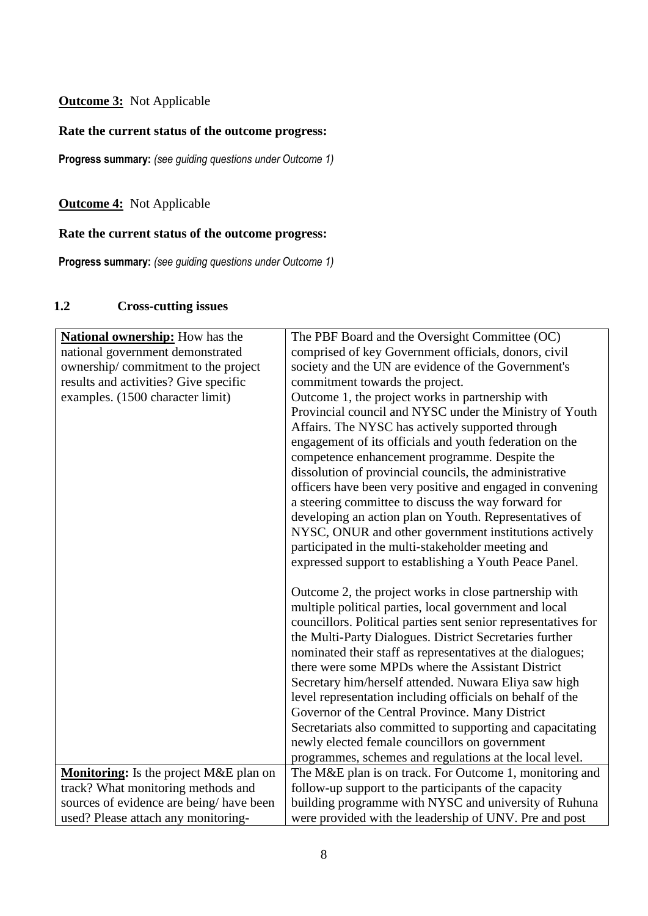# **Outcome 3:** Not Applicable

# **Rate the current status of the outcome progress:**

**Progress summary:** *(see guiding questions under Outcome 1)* 

**Outcome 4:** Not Applicable

# **Rate the current status of the outcome progress:**

**Progress summary:** *(see guiding questions under Outcome 1)* 

# **1.2 Cross-cutting issues**

| <b>National ownership:</b> How has the        | The PBF Board and the Oversight Committee (OC)                 |
|-----------------------------------------------|----------------------------------------------------------------|
| national government demonstrated              | comprised of key Government officials, donors, civil           |
| ownership/commitment to the project           | society and the UN are evidence of the Government's            |
| results and activities? Give specific         | commitment towards the project.                                |
| examples. (1500 character limit)              | Outcome 1, the project works in partnership with               |
|                                               | Provincial council and NYSC under the Ministry of Youth        |
|                                               | Affairs. The NYSC has actively supported through               |
|                                               | engagement of its officials and youth federation on the        |
|                                               | competence enhancement programme. Despite the                  |
|                                               | dissolution of provincial councils, the administrative         |
|                                               | officers have been very positive and engaged in convening      |
|                                               | a steering committee to discuss the way forward for            |
|                                               | developing an action plan on Youth. Representatives of         |
|                                               | NYSC, ONUR and other government institutions actively          |
|                                               | participated in the multi-stakeholder meeting and              |
|                                               | expressed support to establishing a Youth Peace Panel.         |
|                                               |                                                                |
|                                               | Outcome 2, the project works in close partnership with         |
|                                               | multiple political parties, local government and local         |
|                                               | councillors. Political parties sent senior representatives for |
|                                               | the Multi-Party Dialogues. District Secretaries further        |
|                                               | nominated their staff as representatives at the dialogues;     |
|                                               | there were some MPDs where the Assistant District              |
|                                               | Secretary him/herself attended. Nuwara Eliya saw high          |
|                                               | level representation including officials on behalf of the      |
|                                               | Governor of the Central Province. Many District                |
|                                               | Secretariats also committed to supporting and capacitating     |
|                                               | newly elected female councillors on government                 |
|                                               | programmes, schemes and regulations at the local level.        |
| <b>Monitoring:</b> Is the project M&E plan on | The M&E plan is on track. For Outcome 1, monitoring and        |
| track? What monitoring methods and            | follow-up support to the participants of the capacity          |
| sources of evidence are being/have been       | building programme with NYSC and university of Ruhuna          |
| used? Please attach any monitoring-           | were provided with the leadership of UNV. Pre and post         |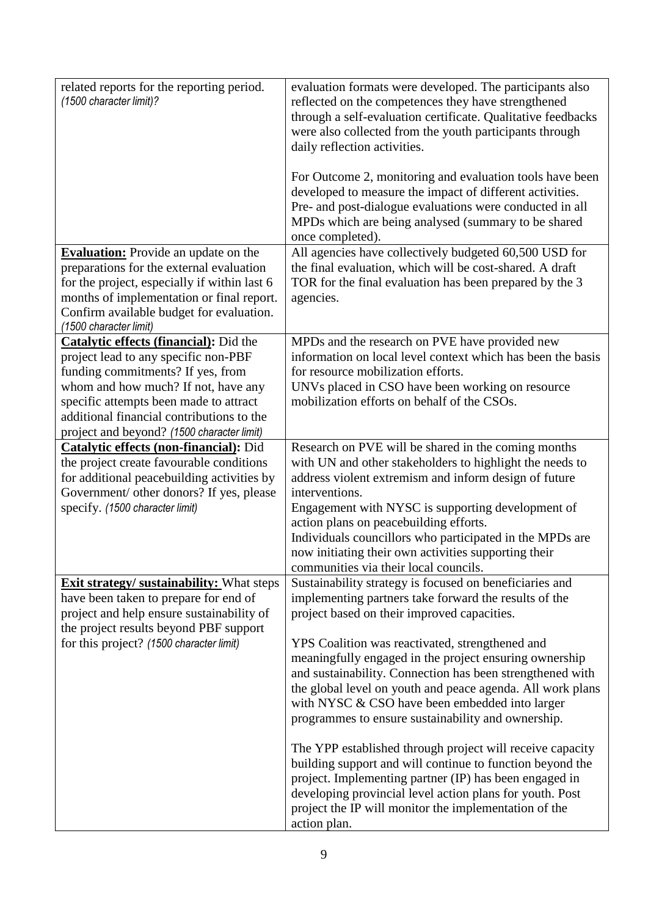| related reports for the reporting period.<br>(1500 character limit)?                                                                                                                                                                                                                            | evaluation formats were developed. The participants also<br>reflected on the competences they have strengthened<br>through a self-evaluation certificate. Qualitative feedbacks<br>were also collected from the youth participants through<br>daily reflection activities.<br>For Outcome 2, monitoring and evaluation tools have been<br>developed to measure the impact of different activities.<br>Pre- and post-dialogue evaluations were conducted in all<br>MPDs which are being analysed (summary to be shared<br>once completed).                                                                                                                                                           |
|-------------------------------------------------------------------------------------------------------------------------------------------------------------------------------------------------------------------------------------------------------------------------------------------------|-----------------------------------------------------------------------------------------------------------------------------------------------------------------------------------------------------------------------------------------------------------------------------------------------------------------------------------------------------------------------------------------------------------------------------------------------------------------------------------------------------------------------------------------------------------------------------------------------------------------------------------------------------------------------------------------------------|
| <b>Evaluation:</b> Provide an update on the<br>preparations for the external evaluation<br>for the project, especially if within last 6<br>months of implementation or final report.<br>Confirm available budget for evaluation.<br>(1500 character limit)                                      | All agencies have collectively budgeted 60,500 USD for<br>the final evaluation, which will be cost-shared. A draft<br>TOR for the final evaluation has been prepared by the 3<br>agencies.                                                                                                                                                                                                                                                                                                                                                                                                                                                                                                          |
| Catalytic effects (financial): Did the<br>project lead to any specific non-PBF<br>funding commitments? If yes, from<br>whom and how much? If not, have any<br>specific attempts been made to attract<br>additional financial contributions to the<br>project and beyond? (1500 character limit) | MPDs and the research on PVE have provided new<br>information on local level context which has been the basis<br>for resource mobilization efforts.<br>UNVs placed in CSO have been working on resource<br>mobilization efforts on behalf of the CSOs.                                                                                                                                                                                                                                                                                                                                                                                                                                              |
| <b>Catalytic effects (non-financial):</b> Did<br>the project create favourable conditions<br>for additional peacebuilding activities by<br>Government/ other donors? If yes, please<br>specify. (1500 character limit)                                                                          | Research on PVE will be shared in the coming months<br>with UN and other stakeholders to highlight the needs to<br>address violent extremism and inform design of future<br>interventions.<br>Engagement with NYSC is supporting development of<br>action plans on peacebuilding efforts.<br>Individuals councillors who participated in the MPDs are<br>now initiating their own activities supporting their<br>communities via their local councils.                                                                                                                                                                                                                                              |
| <b>Exit strategy/ sustainability:</b> What steps<br>have been taken to prepare for end of<br>project and help ensure sustainability of<br>the project results beyond PBF support<br>for this project? (1500 character limit)                                                                    | Sustainability strategy is focused on beneficiaries and<br>implementing partners take forward the results of the<br>project based on their improved capacities.<br>YPS Coalition was reactivated, strengthened and<br>meaningfully engaged in the project ensuring ownership<br>and sustainability. Connection has been strengthened with<br>the global level on youth and peace agenda. All work plans<br>with NYSC & CSO have been embedded into larger<br>programmes to ensure sustainability and ownership.<br>The YPP established through project will receive capacity<br>building support and will continue to function beyond the<br>project. Implementing partner (IP) has been engaged in |
|                                                                                                                                                                                                                                                                                                 | developing provincial level action plans for youth. Post<br>project the IP will monitor the implementation of the<br>action plan.                                                                                                                                                                                                                                                                                                                                                                                                                                                                                                                                                                   |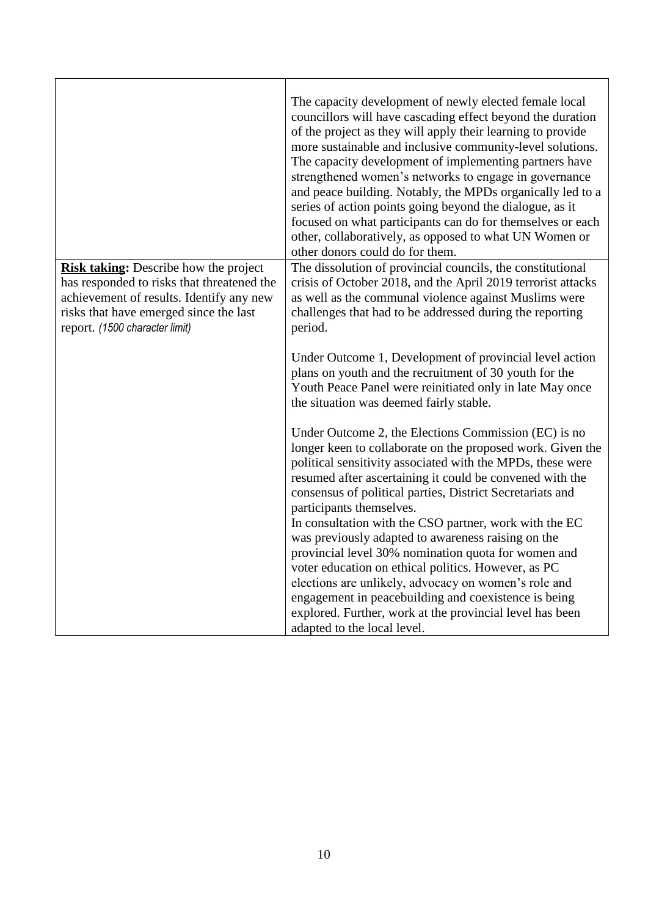|                                                                                                                                                                                                                    | The capacity development of newly elected female local<br>councillors will have cascading effect beyond the duration<br>of the project as they will apply their learning to provide<br>more sustainable and inclusive community-level solutions.<br>The capacity development of implementing partners have<br>strengthened women's networks to engage in governance<br>and peace building. Notably, the MPDs organically led to a<br>series of action points going beyond the dialogue, as it<br>focused on what participants can do for themselves or each<br>other, collaboratively, as opposed to what UN Women or<br>other donors could do for them.                                                                                                                       |
|--------------------------------------------------------------------------------------------------------------------------------------------------------------------------------------------------------------------|--------------------------------------------------------------------------------------------------------------------------------------------------------------------------------------------------------------------------------------------------------------------------------------------------------------------------------------------------------------------------------------------------------------------------------------------------------------------------------------------------------------------------------------------------------------------------------------------------------------------------------------------------------------------------------------------------------------------------------------------------------------------------------|
| <b>Risk taking:</b> Describe how the project<br>has responded to risks that threatened the<br>achievement of results. Identify any new<br>risks that have emerged since the last<br>report. (1500 character limit) | The dissolution of provincial councils, the constitutional<br>crisis of October 2018, and the April 2019 terrorist attacks<br>as well as the communal violence against Muslims were<br>challenges that had to be addressed during the reporting<br>period.                                                                                                                                                                                                                                                                                                                                                                                                                                                                                                                     |
|                                                                                                                                                                                                                    | Under Outcome 1, Development of provincial level action<br>plans on youth and the recruitment of 30 youth for the<br>Youth Peace Panel were reinitiated only in late May once<br>the situation was deemed fairly stable.                                                                                                                                                                                                                                                                                                                                                                                                                                                                                                                                                       |
|                                                                                                                                                                                                                    | Under Outcome 2, the Elections Commission (EC) is no<br>longer keen to collaborate on the proposed work. Given the<br>political sensitivity associated with the MPDs, these were<br>resumed after ascertaining it could be convened with the<br>consensus of political parties, District Secretariats and<br>participants themselves.<br>In consultation with the CSO partner, work with the EC<br>was previously adapted to awareness raising on the<br>provincial level 30% nomination quota for women and<br>voter education on ethical politics. However, as PC<br>elections are unlikely, advocacy on women's role and<br>engagement in peacebuilding and coexistence is being<br>explored. Further, work at the provincial level has been<br>adapted to the local level. |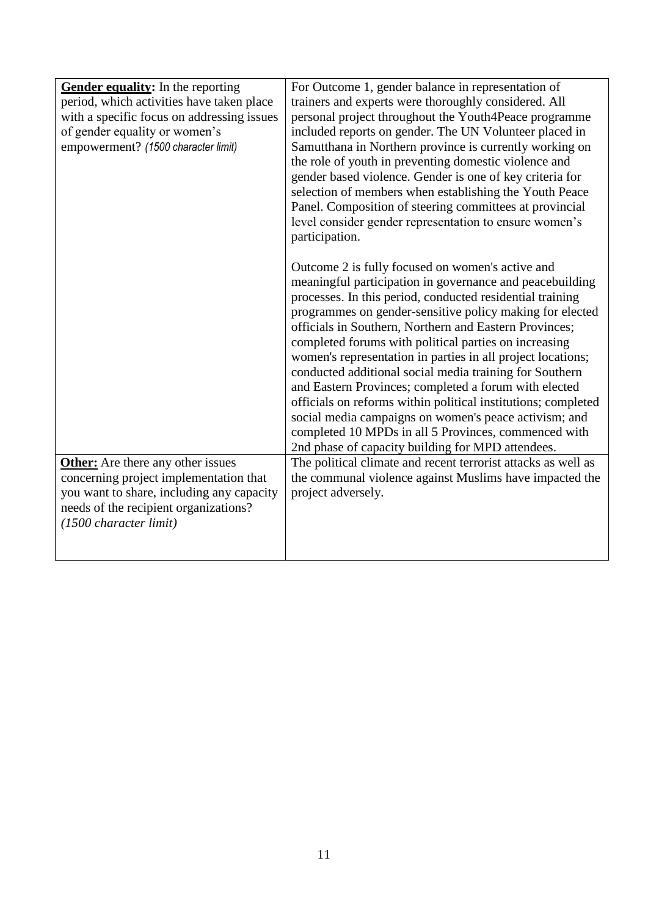| Gender equality: In the reporting<br>period, which activities have taken place<br>with a specific focus on addressing issues<br>of gender equality or women's<br>empowerment? (1500 character limit) | For Outcome 1, gender balance in representation of<br>trainers and experts were thoroughly considered. All<br>personal project throughout the Youth4Peace programme<br>included reports on gender. The UN Volunteer placed in<br>Samutthana in Northern province is currently working on<br>the role of youth in preventing domestic violence and<br>gender based violence. Gender is one of key criteria for<br>selection of members when establishing the Youth Peace<br>Panel. Composition of steering committees at provincial<br>level consider gender representation to ensure women's<br>participation.<br>Outcome 2 is fully focused on women's active and<br>meaningful participation in governance and peacebuilding |
|------------------------------------------------------------------------------------------------------------------------------------------------------------------------------------------------------|--------------------------------------------------------------------------------------------------------------------------------------------------------------------------------------------------------------------------------------------------------------------------------------------------------------------------------------------------------------------------------------------------------------------------------------------------------------------------------------------------------------------------------------------------------------------------------------------------------------------------------------------------------------------------------------------------------------------------------|
|                                                                                                                                                                                                      | processes. In this period, conducted residential training<br>programmes on gender-sensitive policy making for elected<br>officials in Southern, Northern and Eastern Provinces;<br>completed forums with political parties on increasing<br>women's representation in parties in all project locations;<br>conducted additional social media training for Southern<br>and Eastern Provinces; completed a forum with elected<br>officials on reforms within political institutions; completed<br>social media campaigns on women's peace activism; and<br>completed 10 MPDs in all 5 Provinces, commenced with<br>2nd phase of capacity building for MPD attendees.                                                             |
| <b>Other:</b> Are there any other issues<br>concerning project implementation that<br>you want to share, including any capacity<br>needs of the recipient organizations?<br>(1500 character limit)   | The political climate and recent terrorist attacks as well as<br>the communal violence against Muslims have impacted the<br>project adversely.                                                                                                                                                                                                                                                                                                                                                                                                                                                                                                                                                                                 |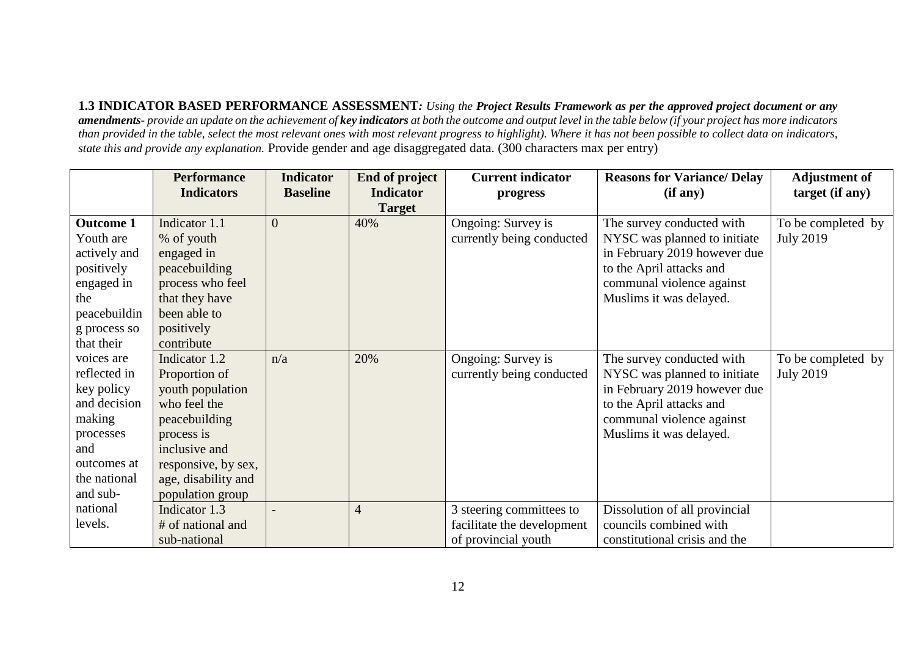**1.3 INDICATOR BASED PERFORMANCE ASSESSMENT***: Using the Project Results Framework as per the approved project document or any amendments- provide an update on the achievement of key indicators at both the outcome and output level in the table below (if your project has more indicators than provided in the table, select the most relevant ones with most relevant progress to highlight). Where it has not been possible to collect data on indicators, state this and provide any explanation.* Provide gender and age disaggregated data. (300 characters max per entry)

|                  | <b>Performance</b>  | <b>Indicator</b> | <b>End of project</b> | <b>Current indicator</b>   | <b>Reasons for Variance/ Delay</b> | <b>Adjustment of</b> |
|------------------|---------------------|------------------|-----------------------|----------------------------|------------------------------------|----------------------|
|                  | <b>Indicators</b>   | <b>Baseline</b>  | <b>Indicator</b>      | progress                   | (if any)                           | target (if any)      |
|                  |                     |                  | <b>Target</b>         |                            |                                    |                      |
| <b>Outcome 1</b> | Indicator 1.1       | $\overline{0}$   | 40%                   | Ongoing: Survey is         | The survey conducted with          | To be completed by   |
| Youth are        | % of youth          |                  |                       | currently being conducted  | NYSC was planned to initiate       | <b>July 2019</b>     |
| actively and     | engaged in          |                  |                       |                            | in February 2019 however due       |                      |
| positively       | peacebuilding       |                  |                       |                            | to the April attacks and           |                      |
| engaged in       | process who feel    |                  |                       |                            | communal violence against          |                      |
| the              | that they have      |                  |                       |                            | Muslims it was delayed.            |                      |
| peacebuildin     | been able to        |                  |                       |                            |                                    |                      |
| g process so     | positively          |                  |                       |                            |                                    |                      |
| that their       | contribute          |                  |                       |                            |                                    |                      |
| voices are       | Indicator 1.2       | n/a              | 20%                   | Ongoing: Survey is         | The survey conducted with          | To be completed by   |
| reflected in     | Proportion of       |                  |                       | currently being conducted  | NYSC was planned to initiate       | <b>July 2019</b>     |
| key policy       | youth population    |                  |                       |                            | in February 2019 however due       |                      |
| and decision     | who feel the        |                  |                       |                            | to the April attacks and           |                      |
| making           | peacebuilding       |                  |                       |                            | communal violence against          |                      |
| processes        | process is          |                  |                       |                            | Muslims it was delayed.            |                      |
| and              | inclusive and       |                  |                       |                            |                                    |                      |
| outcomes at      | responsive, by sex, |                  |                       |                            |                                    |                      |
| the national     | age, disability and |                  |                       |                            |                                    |                      |
| and sub-         | population group    |                  |                       |                            |                                    |                      |
| national         | Indicator 1.3       |                  | $\overline{4}$        | 3 steering committees to   | Dissolution of all provincial      |                      |
| levels.          | # of national and   |                  |                       | facilitate the development | councils combined with             |                      |
|                  | sub-national        |                  |                       | of provincial youth        | constitutional crisis and the      |                      |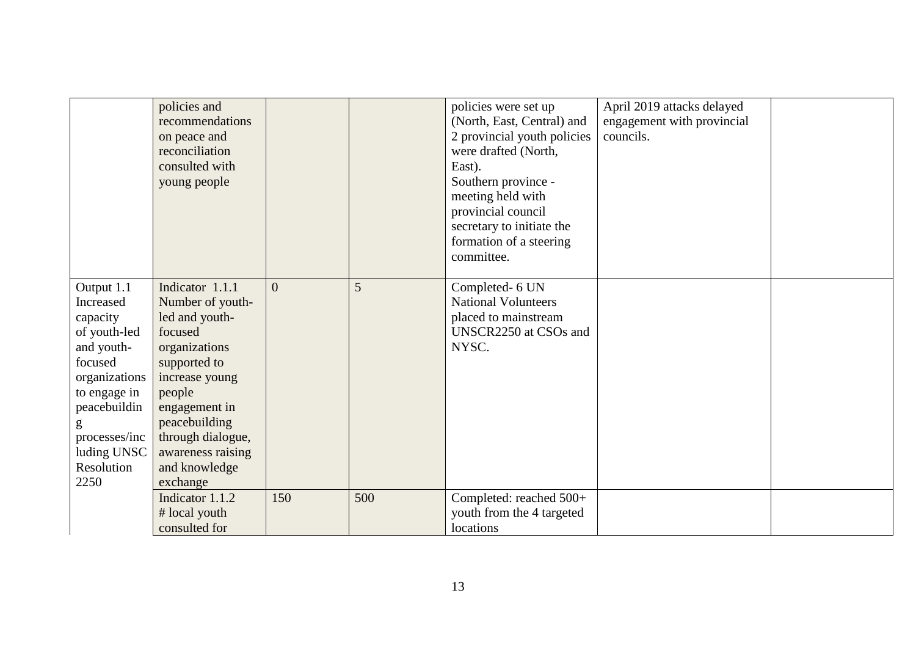|                                                                                                                                                                                          | policies and<br>recommendations<br>on peace and<br>reconciliation<br>consulted with<br>young people                                                                                                                                    |                |     | policies were set up<br>(North, East, Central) and<br>2 provincial youth policies<br>were drafted (North,<br>East).<br>Southern province -<br>meeting held with<br>provincial council<br>secretary to initiate the<br>formation of a steering<br>committee. | April 2019 attacks delayed<br>engagement with provincial<br>councils. |  |
|------------------------------------------------------------------------------------------------------------------------------------------------------------------------------------------|----------------------------------------------------------------------------------------------------------------------------------------------------------------------------------------------------------------------------------------|----------------|-----|-------------------------------------------------------------------------------------------------------------------------------------------------------------------------------------------------------------------------------------------------------------|-----------------------------------------------------------------------|--|
| Output 1.1<br>Increased<br>capacity<br>of youth-led<br>and youth-<br>focused<br>organizations<br>to engage in<br>peacebuildin<br>g<br>processes/inc<br>luding UNSC<br>Resolution<br>2250 | Indicator 1.1.1<br>Number of youth-<br>led and youth-<br>focused<br>organizations<br>supported to<br>increase young<br>people<br>engagement in<br>peacebuilding<br>through dialogue,<br>awareness raising<br>and knowledge<br>exchange | $\overline{0}$ | 5   | Completed- 6 UN<br><b>National Volunteers</b><br>placed to mainstream<br>UNSCR2250 at CSOs and<br>NYSC.                                                                                                                                                     |                                                                       |  |
|                                                                                                                                                                                          | Indicator 1.1.2<br># local youth<br>consulted for                                                                                                                                                                                      | 150            | 500 | Completed: reached 500+<br>youth from the 4 targeted<br>locations                                                                                                                                                                                           |                                                                       |  |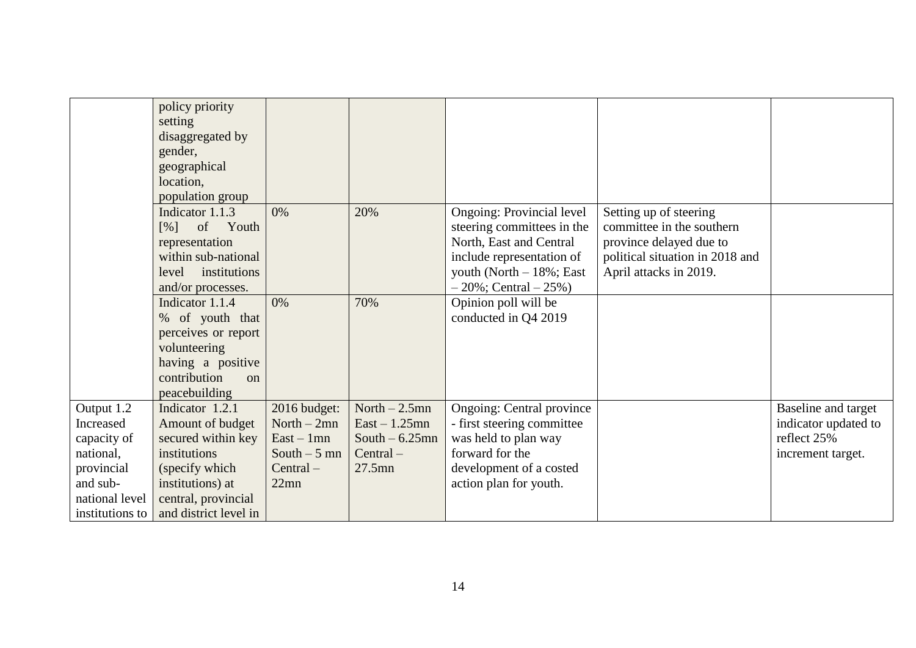|                                                                                                                    | policy priority<br>setting<br>disaggregated by<br>gender,<br>geographical<br>location,<br>population group                                                      |                                                                                         |                                                                                    |                                                                                                                                                                                      |                                                                                                                                             |                                                                                 |
|--------------------------------------------------------------------------------------------------------------------|-----------------------------------------------------------------------------------------------------------------------------------------------------------------|-----------------------------------------------------------------------------------------|------------------------------------------------------------------------------------|--------------------------------------------------------------------------------------------------------------------------------------------------------------------------------------|---------------------------------------------------------------------------------------------------------------------------------------------|---------------------------------------------------------------------------------|
|                                                                                                                    | Indicator 1.1.3<br>of Youth<br>$\lceil\% \rceil$<br>representation<br>within sub-national<br>institutions<br>level<br>and/or processes.                         | 0%                                                                                      | 20%                                                                                | <b>Ongoing: Provincial level</b><br>steering committees in the<br>North, East and Central<br>include representation of<br>youth (North $-18\%$ ; East<br>$-20\%$ ; Central $-25\%$ ) | Setting up of steering<br>committee in the southern<br>province delayed due to<br>political situation in 2018 and<br>April attacks in 2019. |                                                                                 |
|                                                                                                                    | Indicator 1.1.4<br>% of youth that<br>perceives or report<br>volunteering<br>having a positive<br>contribution<br>$\Omega$<br>peacebuilding                     | 0%                                                                                      | 70%                                                                                | Opinion poll will be<br>conducted in Q4 2019                                                                                                                                         |                                                                                                                                             |                                                                                 |
| Output 1.2<br>Increased<br>capacity of<br>national,<br>provincial<br>and sub-<br>national level<br>institutions to | Indicator 1.2.1<br>Amount of budget<br>secured within key<br>institutions<br>(specify which<br>institutions) at<br>central, provincial<br>and district level in | 2016 budget:<br>North $-2mn$<br>$East - 1mn$<br>South $-5$ mn<br>$Central -$<br>$22$ mn | North $-2.5$ mn<br>$East - 1.25mn$<br>South $-6.25$ mn<br>$Central -$<br>$27.5$ mn | <b>Ongoing: Central province</b><br>- first steering committee<br>was held to plan way<br>forward for the<br>development of a costed<br>action plan for youth.                       |                                                                                                                                             | Baseline and target<br>indicator updated to<br>reflect 25%<br>increment target. |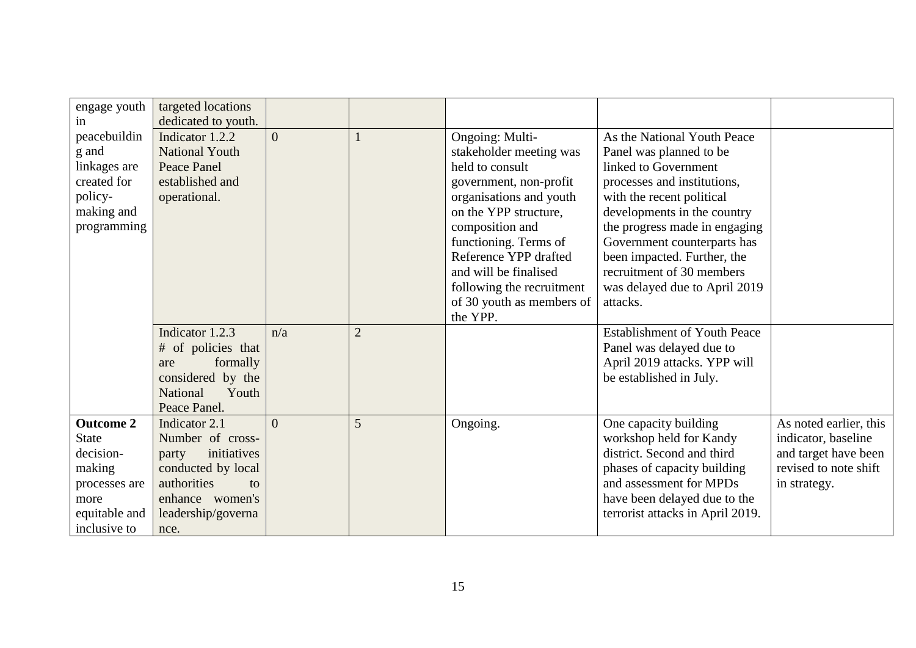| engage youth                                                                                                      | targeted locations                                                                                                                                    |                |                |                                                                                                                                                                  |                                                                                                                                                                                                              |                                                                                                                |
|-------------------------------------------------------------------------------------------------------------------|-------------------------------------------------------------------------------------------------------------------------------------------------------|----------------|----------------|------------------------------------------------------------------------------------------------------------------------------------------------------------------|--------------------------------------------------------------------------------------------------------------------------------------------------------------------------------------------------------------|----------------------------------------------------------------------------------------------------------------|
| in<br>peacebuildin<br>g and<br>linkages are<br>created for<br>policy-<br>making and                               | dedicated to youth.<br>Indicator 1.2.2<br><b>National Youth</b><br><b>Peace Panel</b><br>established and<br>operational.                              | $\overline{0}$ |                | Ongoing: Multi-<br>stakeholder meeting was<br>held to consult<br>government, non-profit<br>organisations and youth<br>on the YPP structure,                      | As the National Youth Peace<br>Panel was planned to be<br>linked to Government<br>processes and institutions,<br>with the recent political<br>developments in the country                                    |                                                                                                                |
| programming                                                                                                       |                                                                                                                                                       |                |                | composition and<br>functioning. Terms of<br>Reference YPP drafted<br>and will be finalised<br>following the recruitment<br>of 30 youth as members of<br>the YPP. | the progress made in engaging<br>Government counterparts has<br>been impacted. Further, the<br>recruitment of 30 members<br>was delayed due to April 2019<br>attacks.                                        |                                                                                                                |
|                                                                                                                   | Indicator 1.2.3<br># of policies that<br>formally<br>are<br>considered by the<br>Youth<br><b>National</b><br>Peace Panel.                             | n/a            | $\overline{2}$ |                                                                                                                                                                  | <b>Establishment of Youth Peace</b><br>Panel was delayed due to<br>April 2019 attacks. YPP will<br>be established in July.                                                                                   |                                                                                                                |
| <b>Outcome 2</b><br><b>State</b><br>decision-<br>making<br>processes are<br>more<br>equitable and<br>inclusive to | Indicator 2.1<br>Number of cross-<br>initiatives<br>party<br>conducted by local<br>authorities<br>to<br>enhance women's<br>leadership/governa<br>nce. | $\Omega$       | 5              | Ongoing.                                                                                                                                                         | One capacity building<br>workshop held for Kandy<br>district. Second and third<br>phases of capacity building<br>and assessment for MPDs<br>have been delayed due to the<br>terrorist attacks in April 2019. | As noted earlier, this<br>indicator, baseline<br>and target have been<br>revised to note shift<br>in strategy. |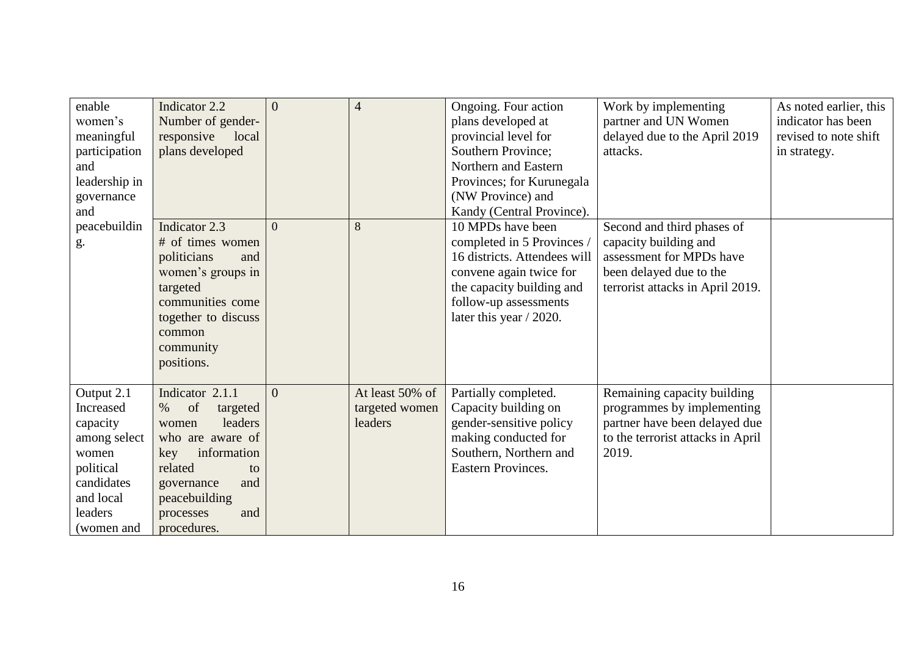| enable<br>women's<br>meaningful<br>participation<br>and<br>leadership in<br>governance<br>and                                 | Indicator 2.2<br>Number of gender-<br>responsive<br>local<br>plans developed                                                                                                                      | $\overline{0}$ | $\overline{4}$                               | Ongoing. Four action<br>plans developed at<br>provincial level for<br>Southern Province;<br>Northern and Eastern<br>Provinces; for Kurunegala<br>(NW Province) and<br>Kandy (Central Province). | Work by implementing<br>partner and UN Women<br>delayed due to the April 2019<br>attacks.                                                      | As noted earlier, this<br>indicator has been<br>revised to note shift<br>in strategy. |
|-------------------------------------------------------------------------------------------------------------------------------|---------------------------------------------------------------------------------------------------------------------------------------------------------------------------------------------------|----------------|----------------------------------------------|-------------------------------------------------------------------------------------------------------------------------------------------------------------------------------------------------|------------------------------------------------------------------------------------------------------------------------------------------------|---------------------------------------------------------------------------------------|
| peacebuildin<br>g.                                                                                                            | Indicator 2.3<br># of times women<br>politicians<br>and<br>women's groups in<br>targeted<br>communities come<br>together to discuss<br>common<br>community<br>positions.                          | $\Omega$       | 8                                            | 10 MPDs have been<br>completed in 5 Provinces /<br>16 districts. Attendees will<br>convene again twice for<br>the capacity building and<br>follow-up assessments<br>later this year $/ 2020$ .  | Second and third phases of<br>capacity building and<br>assessment for MPDs have<br>been delayed due to the<br>terrorist attacks in April 2019. |                                                                                       |
| Output 2.1<br>Increased<br>capacity<br>among select<br>women<br>political<br>candidates<br>and local<br>leaders<br>(women and | Indicator 2.1.1<br>of<br>$\%$<br>targeted<br>leaders<br>women<br>who are aware of<br>information<br>key<br>related<br>to<br>and<br>governance<br>peacebuilding<br>processes<br>and<br>procedures. | $\theta$       | At least 50% of<br>targeted women<br>leaders | Partially completed.<br>Capacity building on<br>gender-sensitive policy<br>making conducted for<br>Southern, Northern and<br><b>Eastern Provinces.</b>                                          | Remaining capacity building<br>programmes by implementing<br>partner have been delayed due<br>to the terrorist attacks in April<br>2019.       |                                                                                       |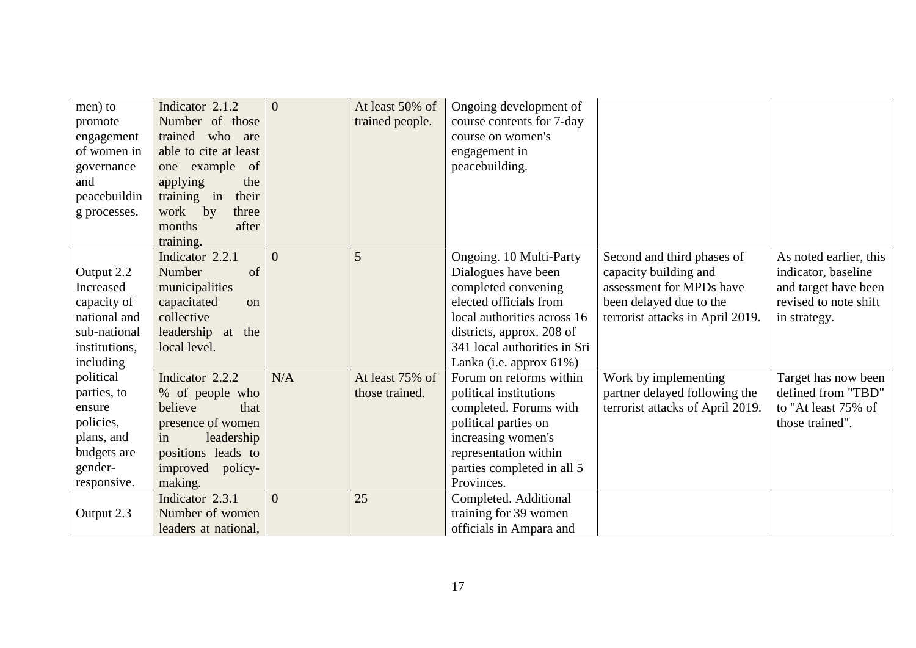| men) to       | Indicator 2.1.2       | $\overline{0}$ | At least 50% of | Ongoing development of       |                                  |                        |
|---------------|-----------------------|----------------|-----------------|------------------------------|----------------------------------|------------------------|
| promote       | Number of those       |                | trained people. | course contents for 7-day    |                                  |                        |
| engagement    | trained who<br>are    |                |                 | course on women's            |                                  |                        |
| of women in   | able to cite at least |                |                 | engagement in                |                                  |                        |
| governance    | example<br>of<br>one  |                |                 | peacebuilding.               |                                  |                        |
| and           | applying<br>the       |                |                 |                              |                                  |                        |
| peacebuildin  | their<br>training in  |                |                 |                              |                                  |                        |
| g processes.  | work by<br>three      |                |                 |                              |                                  |                        |
|               | months<br>after       |                |                 |                              |                                  |                        |
|               | training.             |                |                 |                              |                                  |                        |
|               | Indicator 2.2.1       | $\Omega$       | 5               | Ongoing. 10 Multi-Party      | Second and third phases of       | As noted earlier, this |
| Output 2.2    | of<br>Number          |                |                 | Dialogues have been          | capacity building and            | indicator, baseline    |
| Increased     | municipalities        |                |                 | completed convening          | assessment for MPDs have         | and target have been   |
| capacity of   | capacitated<br>on     |                |                 | elected officials from       | been delayed due to the          | revised to note shift  |
| national and  | collective            |                |                 | local authorities across 16  | terrorist attacks in April 2019. | in strategy.           |
| sub-national  | leadership at<br>the  |                |                 | districts, approx. 208 of    |                                  |                        |
| institutions, | local level.          |                |                 | 341 local authorities in Sri |                                  |                        |
| including     |                       |                |                 | Lanka (i.e. approx 61%)      |                                  |                        |
| political     | Indicator 2.2.2       | N/A            | At least 75% of | Forum on reforms within      | Work by implementing             | Target has now been    |
| parties, to   | % of people who       |                | those trained.  | political institutions       | partner delayed following the    | defined from "TBD"     |
| ensure        | believe<br>that       |                |                 | completed. Forums with       | terrorist attacks of April 2019. | to "At least 75% of    |
| policies,     | presence of women     |                |                 | political parties on         |                                  | those trained".        |
| plans, and    | leadership<br>in      |                |                 | increasing women's           |                                  |                        |
| budgets are   | positions leads to    |                |                 | representation within        |                                  |                        |
| gender-       | improved policy-      |                |                 | parties completed in all 5   |                                  |                        |
| responsive.   | making.               |                |                 | Provinces.                   |                                  |                        |
|               | Indicator 2.3.1       | $\Omega$       | 25              | Completed. Additional        |                                  |                        |
| Output 2.3    | Number of women       |                |                 | training for 39 women        |                                  |                        |
|               | leaders at national,  |                |                 | officials in Ampara and      |                                  |                        |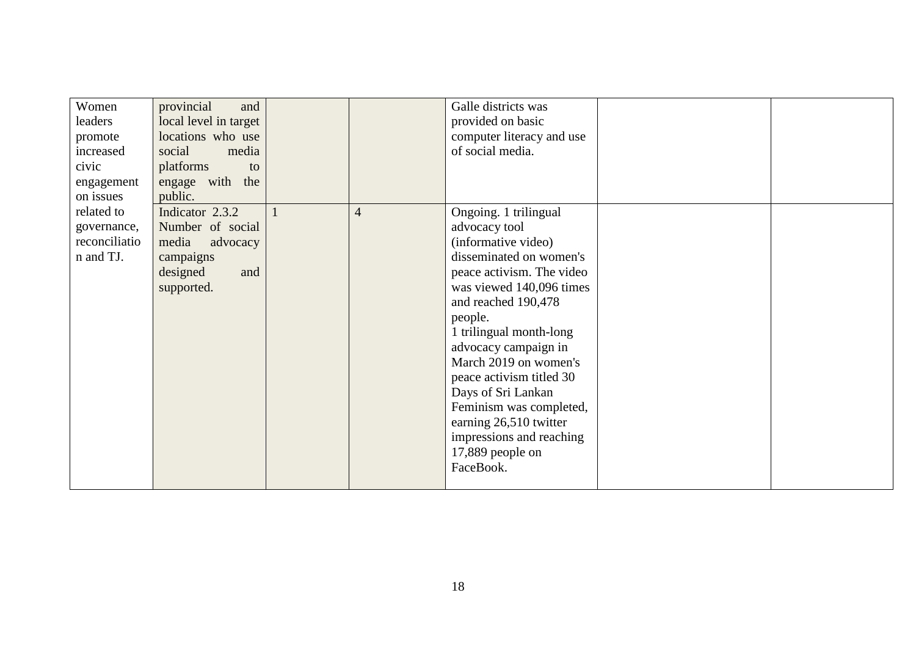| Women         | provincial<br>and     |                | Galle districts was       |  |
|---------------|-----------------------|----------------|---------------------------|--|
| leaders       | local level in target |                | provided on basic         |  |
| promote       | locations who use     |                | computer literacy and use |  |
| increased     | social<br>media       |                | of social media.          |  |
| civic         | platforms<br>to       |                |                           |  |
| engagement    | engage with the       |                |                           |  |
| on issues     | public.               |                |                           |  |
| related to    | Indicator 2.3.2       | $\overline{4}$ | Ongoing. 1 trilingual     |  |
| governance,   | Number of social      |                | advocacy tool             |  |
| reconciliatio | media<br>advocacy     |                | (informative video)       |  |
| n and TJ.     | campaigns             |                | disseminated on women's   |  |
|               | designed<br>and       |                | peace activism. The video |  |
|               | supported.            |                | was viewed 140,096 times  |  |
|               |                       |                | and reached 190,478       |  |
|               |                       |                | people.                   |  |
|               |                       |                | 1 trilingual month-long   |  |
|               |                       |                | advocacy campaign in      |  |
|               |                       |                | March 2019 on women's     |  |
|               |                       |                | peace activism titled 30  |  |
|               |                       |                | Days of Sri Lankan        |  |
|               |                       |                | Feminism was completed,   |  |
|               |                       |                | earning 26,510 twitter    |  |
|               |                       |                | impressions and reaching  |  |
|               |                       |                | 17,889 people on          |  |
|               |                       |                | FaceBook.                 |  |
|               |                       |                |                           |  |